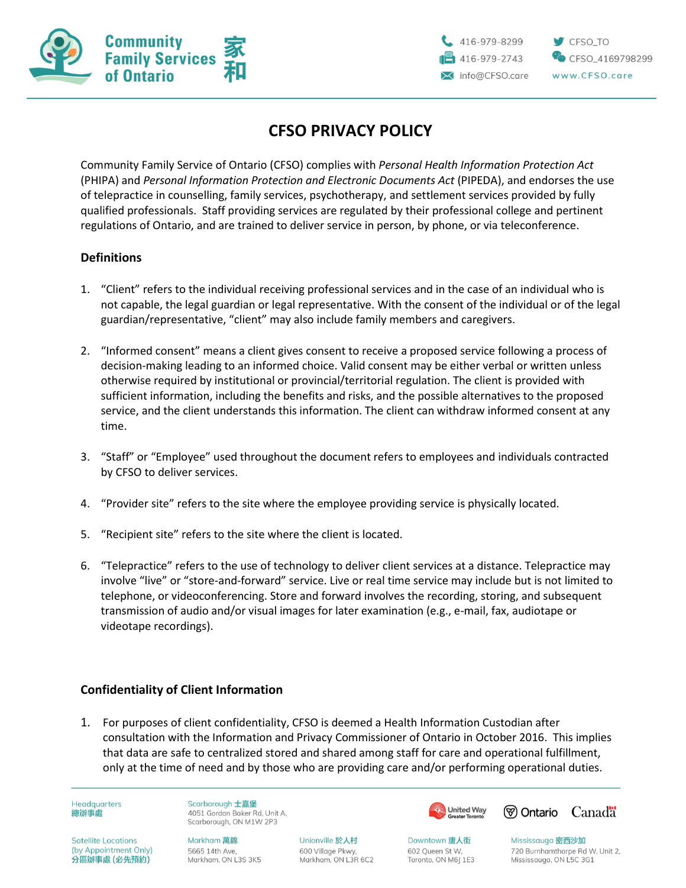

CFSO TO

CFSO\_4169798299

# **CFSO PRIVACY POLICY**

Community Family Service of Ontario (CFSO) complies with *Personal Health Information Protection Act* (PHIPA) and *Personal Information Protection and Electronic Documents Act* (PIPEDA), and endorses the use of telepractice in counselling, family services, psychotherapy, and settlement services provided by fully qualified professionals. Staff providing services are regulated by their professional college and pertinent regulations of Ontario, and are trained to deliver service in person, by phone, or via teleconference.

## **Definitions**

- 1. "Client" refers to the individual receiving professional services and in the case of an individual who is not capable, the legal guardian or legal representative. With the consent of the individual or of the legal guardian/representative, "client" may also include family members and caregivers.
- 2. "Informed consent" means a client gives consent to receive a proposed service following a process of decision-making leading to an informed choice. Valid consent may be either verbal or written unless otherwise required by institutional or provincial/territorial regulation. The client is provided with sufficient information, including the benefits and risks, and the possible alternatives to the proposed service, and the client understands this information. The client can withdraw informed consent at any time.
- 3. "Staff" or "Employee" used throughout the document refers to employees and individuals contracted by CFSO to deliver services.
- 4. "Provider site" refers to the site where the employee providing service is physically located.
- 5. "Recipient site" refers to the site where the client is located.
- 6. "Telepractice" refers to the use of technology to deliver client services at a distance. Telepractice may involve "live" or "store-and-forward" service. Live or real time service may include but is not limited to telephone, or videoconferencing. Store and forward involves the recording, storing, and subsequent transmission of audio and/or visual images for later examination (e.g., e-mail, fax, audiotape or videotape recordings).

### **Confidentiality of Client Information**

1. For purposes of client confidentiality, CFSO is deemed a Health Information Custodian after consultation with the Information and Privacy Commissioner of Ontario in October 2016. This implies that data are safe to centralized stored and shared among staff for care and operational fulfillment, only at the time of need and by those who are providing care and/or performing operational duties.

**Headquarters** 總辦事處

Scarborough 士嘉堡 4051 Gordon Baker Rd. Unit A. Scarborough, ON M1W 2P3

**Satellite Locations** (by Appointment Only) 分區辦事處 (必先預約)

Markham 萬錦 5665 14th Ave. Markham, ON L3S 3K5

Unionville 於人村 600 Village Pkwy, Markham, ON L3R 6C2 **United Way** 



Downtown 唐人街 602 Queen St W. Toronto, ON M6J 1E3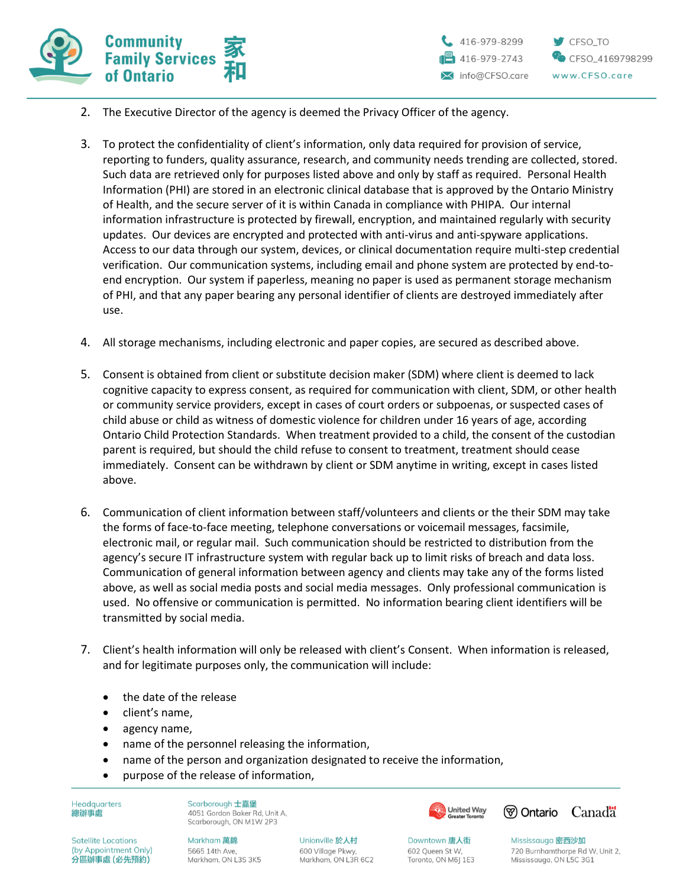

- 2. The Executive Director of the agency is deemed the Privacy Officer of the agency.
- 3. To protect the confidentiality of client's information, only data required for provision of service, reporting to funders, quality assurance, research, and community needs trending are collected, stored. Such data are retrieved only for purposes listed above and only by staff as required. Personal Health Information (PHI) are stored in an electronic clinical database that is approved by the Ontario Ministry of Health, and the secure server of it is within Canada in compliance with PHIPA. Our internal information infrastructure is protected by firewall, encryption, and maintained regularly with security updates. Our devices are encrypted and protected with anti-virus and anti-spyware applications. Access to our data through our system, devices, or clinical documentation require multi-step credential verification. Our communication systems, including email and phone system are protected by end-toend encryption. Our system if paperless, meaning no paper is used as permanent storage mechanism of PHI, and that any paper bearing any personal identifier of clients are destroyed immediately after use.
- 4. All storage mechanisms, including electronic and paper copies, are secured as described above.
- 5. Consent is obtained from client or substitute decision maker (SDM) where client is deemed to lack cognitive capacity to express consent, as required for communication with client, SDM, or other health or community service providers, except in cases of court orders or subpoenas, or suspected cases of child abuse or child as witness of domestic violence for children under 16 years of age, according Ontario Child Protection Standards. When treatment provided to a child, the consent of the custodian parent is required, but should the child refuse to consent to treatment, treatment should cease immediately. Consent can be withdrawn by client or SDM anytime in writing, except in cases listed above.
- 6. Communication of client information between staff/volunteers and clients or the their SDM may take the forms of face-to-face meeting, telephone conversations or voicemail messages, facsimile, electronic mail, or regular mail. Such communication should be restricted to distribution from the agency's secure IT infrastructure system with regular back up to limit risks of breach and data loss. Communication of general information between agency and clients may take any of the forms listed above, as well as social media posts and social media messages. Only professional communication is used. No offensive or communication is permitted. No information bearing client identifiers will be transmitted by social media.
- 7. Client's health information will only be released with client's Consent. When information is released, and for legitimate purposes only, the communication will include:
	- the date of the release
	- client's name,
	- agency name,
	- name of the personnel releasing the information,
	- name of the person and organization designated to receive the information,
	- purpose of the release of information,

**Headquarters** 總辦事處

Scarborough 士嘉堡 4051 Gordon Baker Rd. Unit A. Scarborough, ON M1W 2P3

**Satellite Locations** (by Appointment Only) 分區辦事處 (必先預約)

**Markham 萬錦** 5665 14th Ave. Markham, ON L3S 3K5

Unionville 於人村 600 Village Pkwy, Markham, ON L3R 6C2 **United Way** 



Downtown 唐人街 602 Queen St W. Toronto, ON M6J 1E3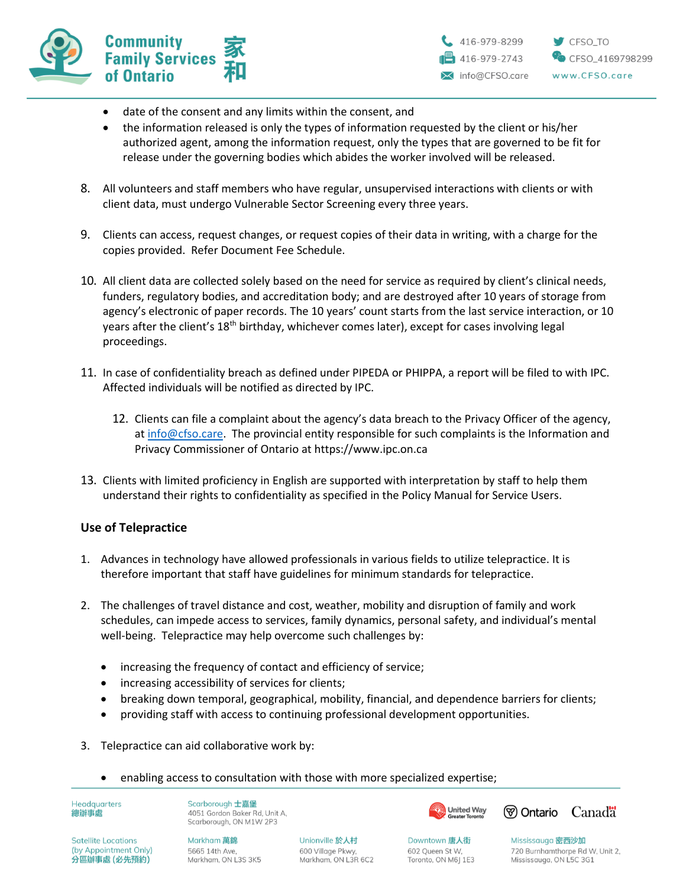



- date of the consent and any limits within the consent, and
- the information released is only the types of information requested by the client or his/her authorized agent, among the information request, only the types that are governed to be fit for release under the governing bodies which abides the worker involved will be released.
- 8. All volunteers and staff members who have regular, unsupervised interactions with clients or with client data, must undergo Vulnerable Sector Screening every three years.
- 9. Clients can access, request changes, or request copies of their data in writing, with a charge for the copies provided. Refer Document Fee Schedule.
- 10. All client data are collected solely based on the need for service as required by client's clinical needs, funders, regulatory bodies, and accreditation body; and are destroyed after 10 years of storage from agency's electronic of paper records. The 10 years' count starts from the last service interaction, or 10 years after the client's 18<sup>th</sup> birthday, whichever comes later), except for cases involving legal proceedings.
- 11. In case of confidentiality breach as defined under PIPEDA or PHIPPA, a report will be filed to with IPC. Affected individuals will be notified as directed by IPC.
	- 12. Clients can file a complaint about the agency's data breach to the Privacy Officer of the agency, a[t info@cfso.care.](mailto:info@cfso.care) The provincial entity responsible for such complaints is the Information and Privacy Commissioner of Ontario at https://www.ipc.on.ca
- 13. Clients with limited proficiency in English are supported with interpretation by staff to help them understand their rights to confidentiality as specified in the Policy Manual for Service Users.

### **Use of Telepractice**

- 1. Advances in technology have allowed professionals in various fields to utilize telepractice. It is therefore important that staff have guidelines for minimum standards for telepractice.
- 2. The challenges of travel distance and cost, weather, mobility and disruption of family and work schedules, can impede access to services, family dynamics, personal safety, and individual's mental well-being. Telepractice may help overcome such challenges by:
	- increasing the frequency of contact and efficiency of service;
	- increasing accessibility of services for clients;
	- breaking down temporal, geographical, mobility, financial, and dependence barriers for clients;
	- providing staff with access to continuing professional development opportunities.
- 3. Telepractice can aid collaborative work by:
	- enabling access to consultation with those with more specialized expertise;

**Headquarters** 總辦事處

Scarborough 士嘉堡 4051 Gordon Baker Rd, Unit A, Scarborough, ON M1W 2P3





**Satellite Locations** (by Appointment Only) 分區辦事處 (必先預約)

**Markham 萬錦** 5665 14th Ave. Markham, ON L3S 3K5

Unionville 於人村 600 Village Pkwy, Markham, ON L3R 6C2

Downtown 唐人街 602 Queen St W. Toronto, ON M6J 1E3